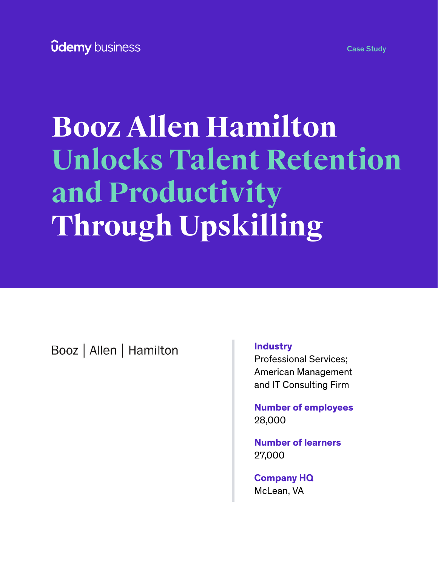# **Booz Allen Hamilton Unlocks Talent Retention and Productivity Through Upskilling**

Booz | Allen | Hamilton

### **Industry**

Professional Services; American Management and IT Consulting Firm

**Number of employees** 28,000

**Number of learners** 27,000

**Company HQ** McLean, VA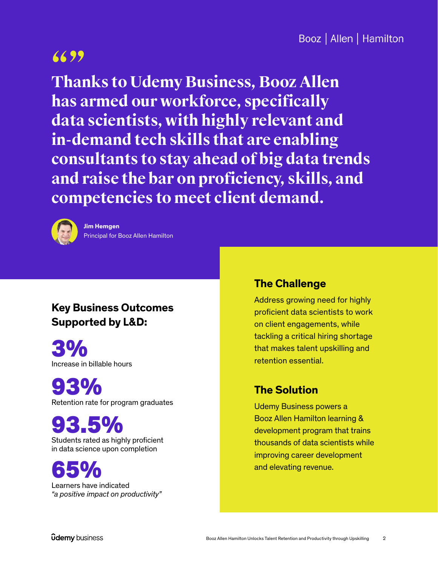**"" Thanks to Udemy Business, Booz Allen has armed our workforce, specifically data scientists, with highly relevant and in-demand tech skills that are enabling consultants to stay ahead of big data trends and raise the bar on proficiency, skills, and competencies to meet client demand.**



**Jim Hemgen** Principal for Booz Allen Hamilton

# **Key Business Outcomes Supported by L&D:**

Increase in billable hours 3%

Retention rate for program graduates 93%

Students rated as highly proficient in data science upon completion 93.5%

Learners have indicated *"a positive impact on productivity"* 65%

## **The Challenge**

Address growing need for highly proficient data scientists to work on client engagements, while tackling a critical hiring shortage that makes talent upskilling and retention essential.

# **The Solution**

Udemy Business powers a Booz Allen Hamilton learning & development program that trains thousands of data scientists while improving career development and elevating revenue.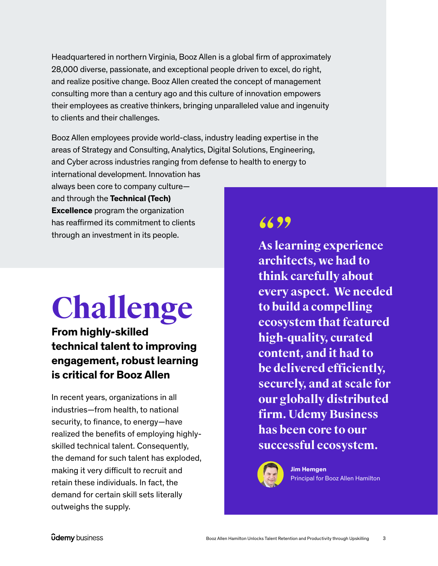Headquartered in northern Virginia, Booz Allen is a global firm of approximately 28,000 diverse, passionate, and exceptional people driven to excel, do right, and realize positive change. Booz Allen created the concept of management consulting more than a century ago and this culture of innovation empowers their employees as creative thinkers, bringing unparalleled value and ingenuity to clients and their challenges.

Booz Allen employees provide world-class, industry leading expertise in the areas of Strategy and Consulting, Analytics, Digital Solutions, Engineering, and Cyber across industries ranging from defense to health to energy to

international development. Innovation has always been core to company culture and through the **Technical (Tech) Excellence** program the organization has reaffirmed its commitment to clients through an investment in its people.

# **Challenge**

# **From highly-skilled technical talent to improving engagement, robust learning is critical for Booz Allen**

In recent years, organizations in all industries—from health, to national security, to finance, to energy—have realized the benefits of employing highlyskilled technical talent. Consequently, the demand for such talent has exploded, making it very difficult to recruit and retain these individuals. In fact, the demand for certain skill sets literally outweighs the supply.

**"" As learning experience architects, we had to think carefully about every aspect. We needed to build a compelling ecosystem that featured high-quality, curated content, and it had to be delivered efficiently, securely, and at scale for our globally distributed firm. Udemy Business has been core to our successful ecosystem.**



## **Jim Hemgen**

Principal for Booz Allen Hamilton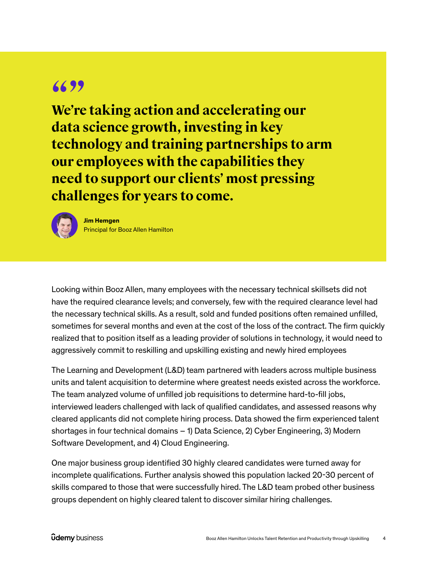**"" We're taking action and accelerating our data science growth, investing in key technology and training partnerships to arm our employees with the capabilities they need to support our clients' most pressing challenges for years to come.**



**Jim Hemgen** Principal for Booz Allen Hamilton

Looking within Booz Allen, many employees with the necessary technical skillsets did not have the required clearance levels; and conversely, few with the required clearance level had the necessary technical skills. As a result, sold and funded positions often remained unfilled, sometimes for several months and even at the cost of the loss of the contract. The firm quickly realized that to position itself as a leading provider of solutions in technology, it would need to aggressively commit to reskilling and upskilling existing and newly hired employees

The Learning and Development (L&D) team partnered with leaders across multiple business units and talent acquisition to determine where greatest needs existed across the workforce. The team analyzed volume of unfilled job requisitions to determine hard-to-fill jobs, interviewed leaders challenged with lack of qualified candidates, and assessed reasons why cleared applicants did not complete hiring process. Data showed the firm experienced talent shortages in four technical domains – 1) Data Science, 2) Cyber Engineering, 3) Modern Software Development, and 4) Cloud Engineering.

One major business group identified 30 highly cleared candidates were turned away for incomplete qualifications. Further analysis showed this population lacked 20-30 percent of skills compared to those that were successfully hired. The L&D team probed other business groups dependent on highly cleared talent to discover similar hiring challenges.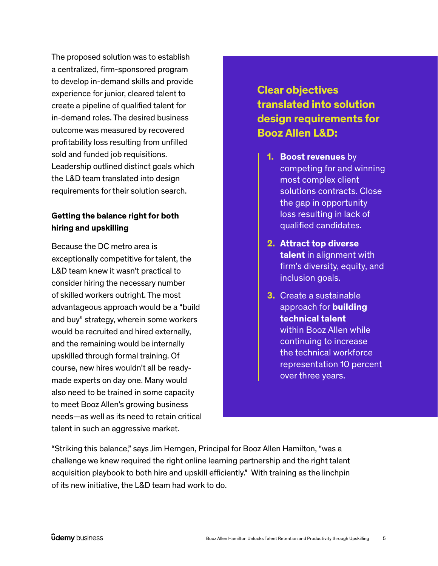The proposed solution was to establish a centralized, firm-sponsored program to develop in-demand skills and provide experience for junior, cleared talent to create a pipeline of qualified talent for in-demand roles. The desired business outcome was measured by recovered profitability loss resulting from unfilled sold and funded job requisitions. Leadership outlined distinct goals which the L&D team translated into design requirements for their solution search.

### **Getting the balance right for both hiring and upskilling**

Because the DC metro area is exceptionally competitive for talent, the L&D team knew it wasn't practical to consider hiring the necessary number of skilled workers outright. The most advantageous approach would be a "build and buy" strategy, wherein some workers would be recruited and hired externally, and the remaining would be internally upskilled through formal training. Of course, new hires wouldn't all be readymade experts on day one. Many would also need to be trained in some capacity to meet Booz Allen's growing business needs—as well as its need to retain critical talent in such an aggressive market.

# **Clear objectives translated into solution design requirements for Booz Allen L&D:**

- **1. Boost revenues** by competing for and winning most complex client solutions contracts. Close the gap in opportunity loss resulting in lack of qualified candidates.
- **2. Attract top diverse talent** in alignment with firm's diversity, equity, and inclusion goals.
- **3.** Create a sustainable approach for **building technical talent** within Booz Allen while continuing to increase the technical workforce representation 10 percent over three years.

"Striking this balance," says Jim Hemgen, Principal for Booz Allen Hamilton, "was a challenge we knew required the right online learning partnership and the right talent acquisition playbook to both hire and upskill efficiently." With training as the linchpin of its new initiative, the L&D team had work to do.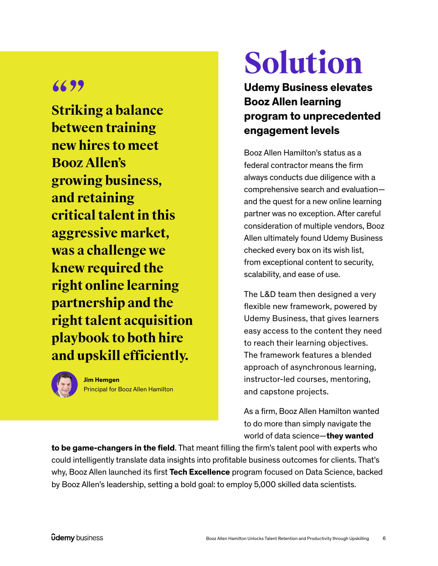**"" Striking a balance between training new hires to meet Booz Allen's growing business, and retaining critical talent in this aggressive market, was a challenge we knew required the right online learning partnership and the right talent acquisition playbook to both hire and upskill efficiently.**



**Jim Hemgen** Principal for Booz Allen Hamilton

# **Solution**

**Udemy Business elevates Booz Allen learning program to unprecedented engagement levels**

Booz Allen Hamilton's status as a federal contractor means the firm always conducts due diligence with a comprehensive search and evaluation and the quest for a new online learning partner was no exception. After careful consideration of multiple vendors, Booz Allen ultimately found Udemy Business checked every box on its wish list, from exceptional content to security, scalability, and ease of use.

The L&D team then designed a very flexible new framework, powered by Udemy Business, that gives learners easy access to the content they need to reach their learning objectives. The framework features a blended approach of asynchronous learning, instructor-led courses, mentoring, and capstone projects.

As a firm, Booz Allen Hamilton wanted to do more than simply navigate the world of data science—**they wanted** 

**to be game-changers in the field**. That meant filling the firm's talent pool with experts who could intelligently translate data insights into profitable business outcomes for clients. That's why, Booz Allen launched its first **Tech Excellence** program focused on Data Science, backed by Booz Allen's leadership, setting a bold goal: to employ 5,000 skilled data scientists.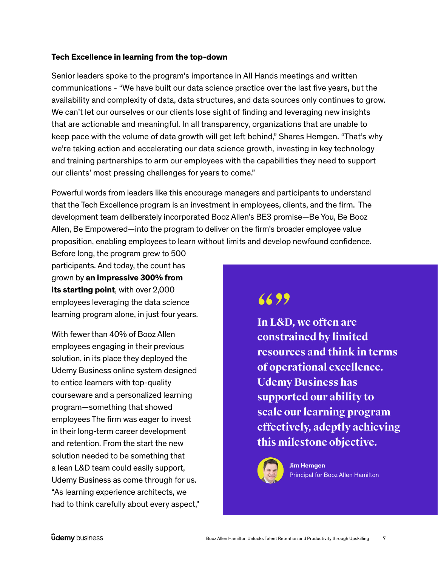### **Tech Excellence in learning from the top-down**

Senior leaders spoke to the program's importance in All Hands meetings and written communications - "We have built our data science practice over the last five years, but the availability and complexity of data, data structures, and data sources only continues to grow. We can't let our ourselves or our clients lose sight of finding and leveraging new insights that are actionable and meaningful. In all transparency, organizations that are unable to keep pace with the volume of data growth will get left behind," Shares Hemgen. "That's why we're taking action and accelerating our data science growth, investing in key technology and training partnerships to arm our employees with the capabilities they need to support our clients' most pressing challenges for years to come."

Powerful words from leaders like this encourage managers and participants to understand that the Tech Excellence program is an investment in employees, clients, and the firm. The development team deliberately incorporated Booz Allen's BE3 promise—Be You, Be Booz Allen, Be Empowered—into the program to deliver on the firm's broader employee value proposition, enabling employees to learn without limits and develop newfound confidence.

Before long, the program grew to 500 participants. And today, the count has grown by **an impressive 300% from its starting point**, with over 2,000 employees leveraging the data science learning program alone, in just four years.

With fewer than 40% of Booz Allen employees engaging in their previous solution, in its place they deployed the Udemy Business online system designed to entice learners with top-quality courseware and a personalized learning program—something that showed employees The firm was eager to invest in their long-term career development and retention. From the start the new solution needed to be something that a lean L&D team could easily support, Udemy Business as come through for us. "As learning experience architects, we had to think carefully about every aspect,"

# **6699**

**In L&D, we often are constrained by limited resources and think in terms of operational excellence. Udemy Business has supported our ability to scale our learning program effectively, adeptly achieving this milestone objective.**



### **Jim Hemgen**

Principal for Booz Allen Hamilton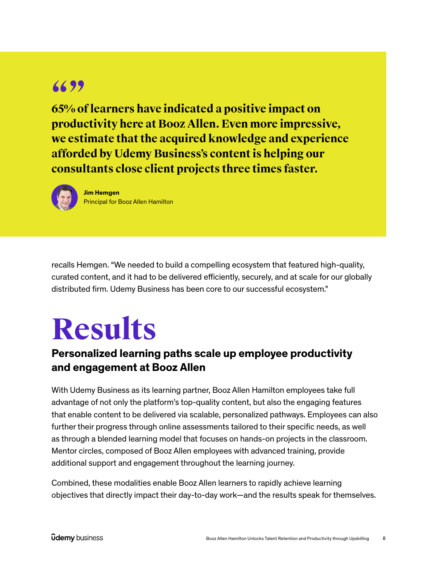**66 99**<br>**65% of learners have indicated a positive impact on productivity here at Booz Allen. Even more impressive, we estimate that the acquired knowledge and experience afforded by Udemy Business's content is helping our consultants close client projects three times faster.**



**Jim Hemgen** Principal for Booz Allen Hamilton

recalls Hemgen. "We needed to build a compelling ecosystem that featured high-quality, curated content, and it had to be delivered efficiently, securely, and at scale for our globally distributed firm. Udemy Business has been core to our successful ecosystem."

# **Results**

## **Personalized learning paths scale up employee productivity and engagement at Booz Allen**

With Udemy Business as its learning partner, Booz Allen Hamilton employees take full advantage of not only the platform's top-quality content, but also the engaging features that enable content to be delivered via scalable, personalized pathways. Employees can also further their progress through online assessments tailored to their specific needs, as well as through a blended learning model that focuses on hands-on projects in the classroom. Mentor circles, composed of Booz Allen employees with advanced training, provide additional support and engagement throughout the learning journey.

Combined, these modalities enable Booz Allen learners to rapidly achieve learning objectives that directly impact their day-to-day work—and the results speak for themselves.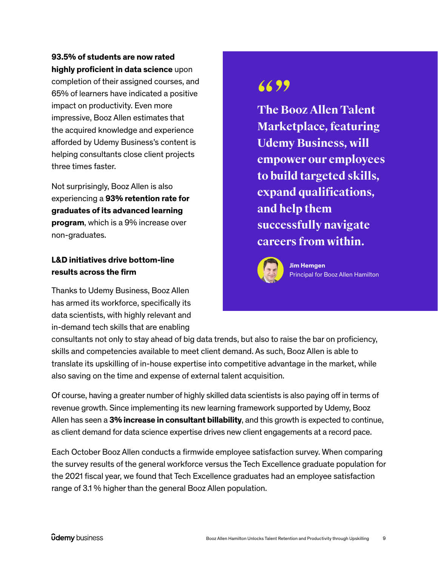### **93.5% of students are now rated highly proficient in data science** upon

completion of their assigned courses, and 65% of learners have indicated a positive impact on productivity. Even more impressive, Booz Allen estimates that the acquired knowledge and experience afforded by Udemy Business's content is helping consultants close client projects three times faster.

Not surprisingly, Booz Allen is also experiencing a **93% retention rate for graduates of its advanced learning program**, which is a 9% increase over non-graduates.

### **L&D initiatives drive bottom-line results across the firm**

Thanks to Udemy Business, Booz Allen has armed its workforce, specifically its data scientists, with highly relevant and in-demand tech skills that are enabling

# **6699**

**The Booz Allen Talent Marketplace, featuring Udemy Business, will empower our employees to build targeted skills, expand qualifications, and help them successfully navigate careers from within.**



**Jim Hemgen** Principal for Booz Allen Hamilton

consultants not only to stay ahead of big data trends, but also to raise the bar on proficiency, skills and competencies available to meet client demand. As such, Booz Allen is able to translate its upskilling of in-house expertise into competitive advantage in the market, while also saving on the time and expense of external talent acquisition.

Of course, having a greater number of highly skilled data scientists is also paying off in terms of revenue growth. Since implementing its new learning framework supported by Udemy, Booz Allen has seen a **3% increase in consultant billability**, and this growth is expected to continue, as client demand for data science expertise drives new client engagements at a record pace.

Each October Booz Allen conducts a firmwide employee satisfaction survey. When comparing the survey results of the general workforce versus the Tech Excellence graduate population for the 2021 fiscal year, we found that Tech Excellence graduates had an employee satisfaction range of 3.1 % higher than the general Booz Allen population.